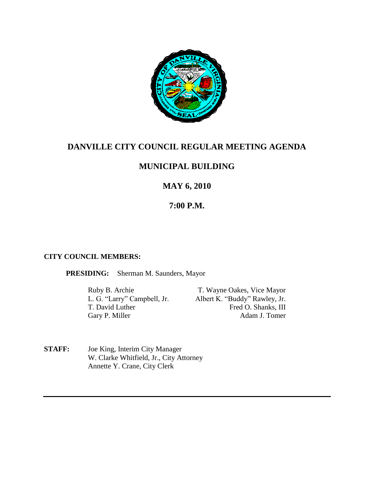

# **DANVILLE CITY COUNCIL REGULAR MEETING AGENDA**

# **MUNICIPAL BUILDING**

# **MAY 6, 2010**

# **7:00 P.M.**

### **CITY COUNCIL MEMBERS:**

**PRESIDING:** Sherman M. Saunders, Mayor

Ruby B. Archie T. Wayne Oakes, Vice Mayor<br>
L. G. "Larry" Campbell, Jr. Albert K. "Buddy" Rawley, Jr. Albert K. "Buddy" Rawley, Jr. T. David Luther Fred O. Shanks, III Gary P. Miller Adam J. Tomer

**STAFF:** Joe King, Interim City Manager W. Clarke Whitfield, Jr., City Attorney Annette Y. Crane, City Clerk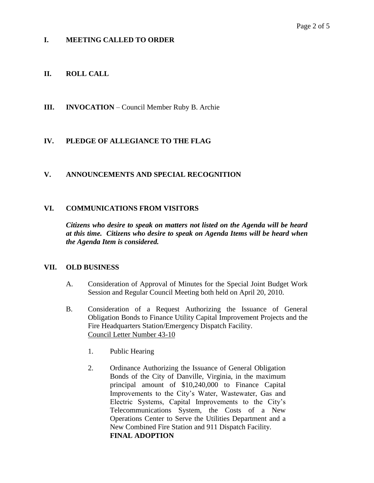## **I. MEETING CALLED TO ORDER**

## **II. ROLL CALL**

**III. INVOCATION** – Council Member Ruby B. Archie

## **IV. PLEDGE OF ALLEGIANCE TO THE FLAG**

### **V. ANNOUNCEMENTS AND SPECIAL RECOGNITION**

### **VI. COMMUNICATIONS FROM VISITORS**

*Citizens who desire to speak on matters not listed on the Agenda will be heard at this time. Citizens who desire to speak on Agenda Items will be heard when the Agenda Item is considered.*

### **VII. OLD BUSINESS**

- A. Consideration of Approval of Minutes for the Special Joint Budget Work Session and Regular Council Meeting both held on April 20, 2010.
- B. Consideration of a Request Authorizing the Issuance of General Obligation Bonds to Finance Utility Capital Improvement Projects and the Fire Headquarters Station/Emergency Dispatch Facility. Council Letter Number 43-10
	- 1. Public Hearing
	- 2. Ordinance Authorizing the Issuance of General Obligation Bonds of the City of Danville, Virginia, in the maximum principal amount of \$10,240,000 to Finance Capital Improvements to the City's Water, Wastewater, Gas and Electric Systems, Capital Improvements to the City's Telecommunications System, the Costs of a New Operations Center to Serve the Utilities Department and a New Combined Fire Station and 911 Dispatch Facility. **FINAL ADOPTION**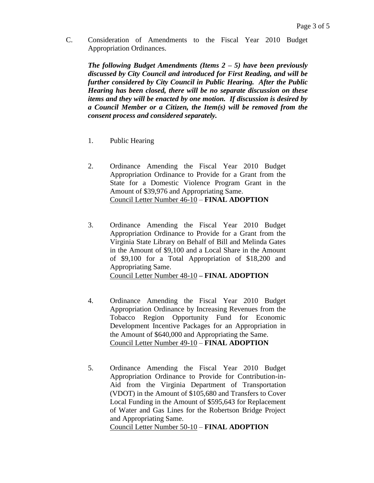C. Consideration of Amendments to the Fiscal Year 2010 Budget Appropriation Ordinances.

*The following Budget Amendments (Items 2 – 5) have been previously discussed by City Council and introduced for First Reading, and will be further considered by City Council in Public Hearing. After the Public Hearing has been closed, there will be no separate discussion on these items and they will be enacted by one motion. If discussion is desired by a Council Member or a Citizen, the Item(s) will be removed from the consent process and considered separately.*

- 1. Public Hearing
- 2. Ordinance Amending the Fiscal Year 2010 Budget Appropriation Ordinance to Provide for a Grant from the State for a Domestic Violence Program Grant in the Amount of \$39,976 and Appropriating Same. Council Letter Number 46-10 – **FINAL ADOPTION**
- 3. Ordinance Amending the Fiscal Year 2010 Budget Appropriation Ordinance to Provide for a Grant from the Virginia State Library on Behalf of Bill and Melinda Gates in the Amount of \$9,100 and a Local Share in the Amount of \$9,100 for a Total Appropriation of \$18,200 and Appropriating Same. Council Letter Number 48-10 **– FINAL ADOPTION**
- 4. Ordinance Amending the Fiscal Year 2010 Budget Appropriation Ordinance by Increasing Revenues from the Tobacco Region Opportunity Fund for Economic Development Incentive Packages for an Appropriation in the Amount of \$640,000 and Appropriating the Same. Council Letter Number 49-10 – **FINAL ADOPTION**
- 5. Ordinance Amending the Fiscal Year 2010 Budget Appropriation Ordinance to Provide for Contribution-in-Aid from the Virginia Department of Transportation (VDOT) in the Amount of \$105,680 and Transfers to Cover Local Funding in the Amount of \$595,643 for Replacement of Water and Gas Lines for the Robertson Bridge Project and Appropriating Same.

Council Letter Number 50-10 – **FINAL ADOPTION**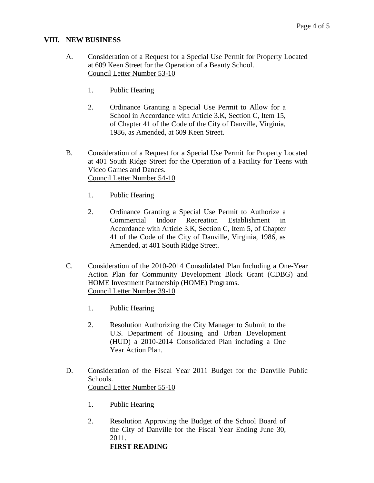### **VIII. NEW BUSINESS**

- A. Consideration of a Request for a Special Use Permit for Property Located at 609 Keen Street for the Operation of a Beauty School. Council Letter Number 53-10
	- 1. Public Hearing
	- 2. Ordinance Granting a Special Use Permit to Allow for a School in Accordance with Article 3.K, Section C, Item 15, of Chapter 41 of the Code of the City of Danville, Virginia, 1986, as Amended, at 609 Keen Street.
- B. Consideration of a Request for a Special Use Permit for Property Located at 401 South Ridge Street for the Operation of a Facility for Teens with Video Games and Dances. Council Letter Number 54-10
	- 1. Public Hearing
	- 2. Ordinance Granting a Special Use Permit to Authorize a Commercial Indoor Recreation Establishment in Accordance with Article 3.K, Section C, Item 5, of Chapter 41 of the Code of the City of Danville, Virginia, 1986, as Amended, at 401 South Ridge Street.
- C. Consideration of the 2010-2014 Consolidated Plan Including a One-Year Action Plan for Community Development Block Grant (CDBG) and HOME Investment Partnership (HOME) Programs. Council Letter Number 39-10
	- 1. Public Hearing
	- 2. Resolution Authorizing the City Manager to Submit to the U.S. Department of Housing and Urban Development (HUD) a 2010-2014 Consolidated Plan including a One Year Action Plan.
- D. Consideration of the Fiscal Year 2011 Budget for the Danville Public Schools. Council Letter Number 55-10
	- 1. Public Hearing
	- 2. Resolution Approving the Budget of the School Board of the City of Danville for the Fiscal Year Ending June 30, 2011. **FIRST READING**